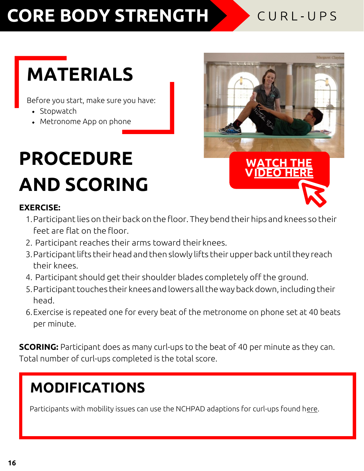## **CORE BODY STRENGTH**

#### CURL-UPS

# **MATERIALS**

Before you start, make sure you have:

- Stopwatch
- Metronome App on phone

# **PROCEDURE AND SCORING**

# **[W ATCH THE](https://youtu.be/vzFgLVLmXGE) [V IDEO](https://youtu.be/vzFgLVLmXGE) HERE**

#### **EXERCISE:**

- 1. Participant lies on their back on the floor. They bend their hips and knees so their feet are flat on the floor.
- 2. Participant reaches their arms toward theirknees.
- 3. Participant lifts their head and then slowly lifts their upper back until they reach their knees.
- 4. Participant should get their shoulder blades completely off the ground.
- 5. Participant touches their knees and lowers all the way back down, including their head.
- 6.Exercise is repeated one for every beat of the metronome on phone set at 40 beats per minute.

**SCORING:** Participant does as many curl-ups to the beat of 40 per minute as they can. Total number of curl-ups completed is the total score.

### **MODIFICATIONS**

Participants with mobility issues can use the NCHPAD adaptions for curl-ups found here.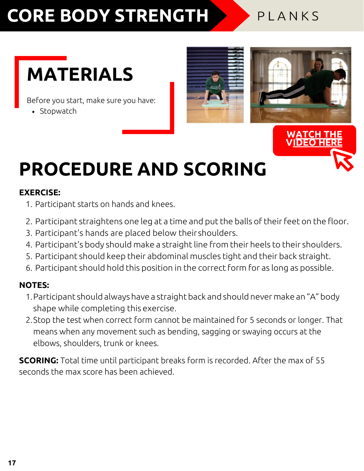## **CORE BODY STRENGTH**

#### PLANKS

## **MATERIALS**

Before you start, make sure you have:

• Stopwatch





## **PROCEDURE AND SCORING**

#### **EXERCISE:**

- 1. Participant starts on hands and knees.
- 2. Participant straightens one leg at a time and put the balls of their feet on the floor.
- 3. Participant's hands are placed below their shoulders.
- 4. Participant's body should make a straight line from their heels to their shoulders.
- 5. Participant should keep their abdominal muscles tight and their back straight.
- 6. Participant should hold this position in the correct form for as long as possible.

#### **NOTES:**

- 1. Participant should always have a straight back and should never make an "A" body shape while completing this exercise.
- 2.Stop the test when correct form cannot be maintained for 5 seconds or longer. That means when any movement such as bending, sagging or swaying occurs at the elbows, shoulders, trunk or knees.

**SCORING:** Total time until participant breaks form is recorded. After the max of 55 seconds the max score has been achieved.